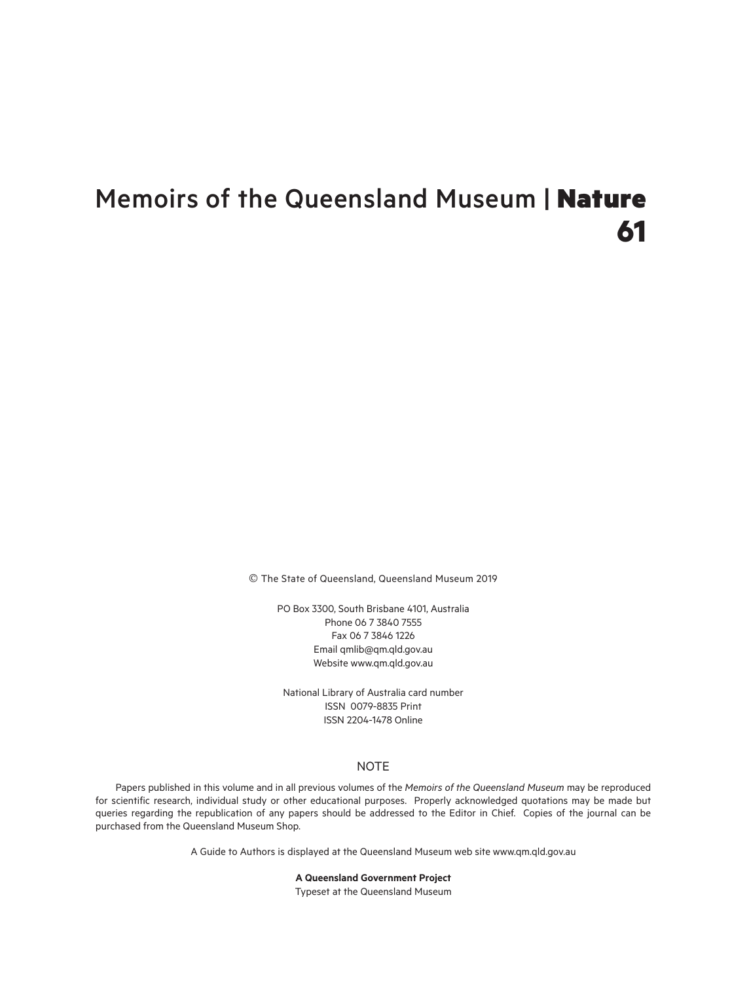# Memoirs of the Queensland Museum | Nature **61**

© The State of Queensland, Queensland Museum 2019

PO Box 3300, South Brisbane 4101, Australia Phone 06 7 3840 7555 Fax 06 7 3846 1226 Email qmlib@qm.qld.gov.au Website www.qm.qld.gov.au

National Library of Australia card number ISSN 0079-8835 Print ISSN 2204-1478 Online

# NOTE

Papers published in this volume and in all previous volumes of the *Memoirs of the Queensland Museum* may be reproduced for scientific research, individual study or other educational purposes. Properly acknowledged quotations may be made but queries regarding the republication of any papers should be addressed to the Editor in Chief. Copies of the journal can be purchased from the Queensland Museum Shop.

A Guide to Authors is displayed at the Queensland Museum web site www.qm.qld.gov.au

**A Queensland Government Project** Typeset at the Queensland Museum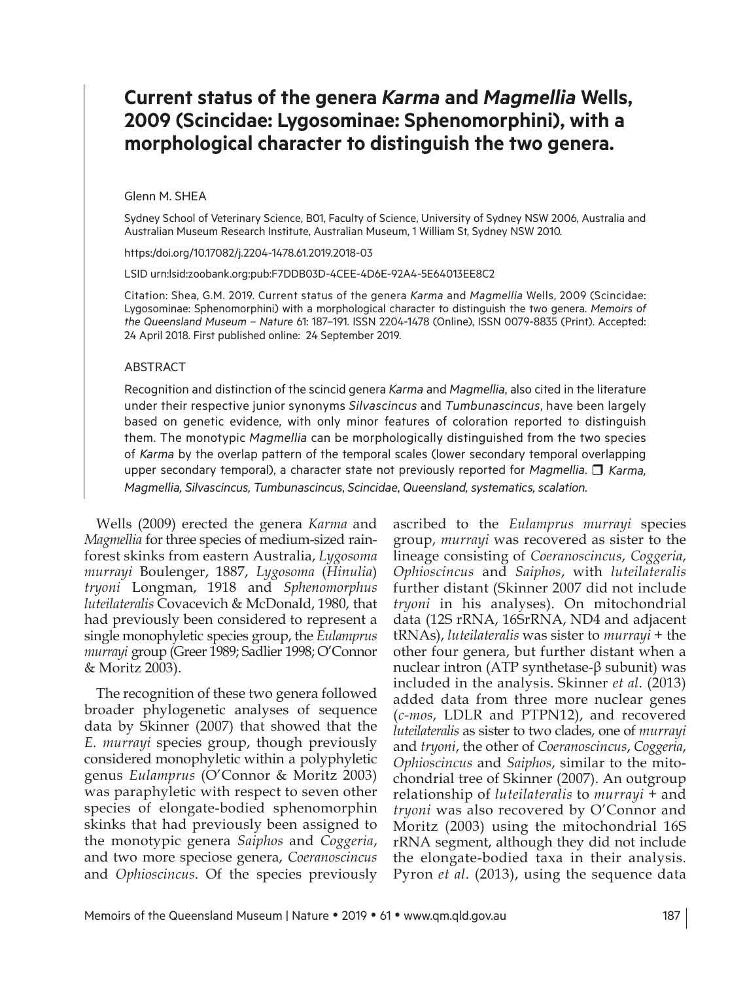# **Current status of the genera** *Karma* **and** *Magmellia* **Wells, 2009 (Scincidae: Lygosominae: Sphenomorphini), with a morphological character to distinguish the two genera.**

#### Glenn M. SHEA

Sydney School of Veterinary Science, B01, Faculty of Science, University of Sydney NSW 2006, Australia and Australian Museum Research Institute, Australian Museum, 1 William St, Sydney NSW 2010.

https:/doi.org/10.17082/j.2204-1478.61.2019.2018-03

LSID urn:lsid:zoobank.org:pub:F7DDB03D-4CEE-4D6E-92A4-5E64013EE8C2

Citation: Shea, G.M. 2019. Current status of the genera *Karma* and *Magmellia* Wells, 2009 (Scincidae: Lygosominae: Sphenomorphini) with a morphological character to distinguish the two genera. *Memoirs of the Queensland Museum – Nature* 61: 187–191. ISSN 2204-1478 (Online), ISSN 0079-8835 (Print). Accepted: 24 April 2018. First published online: 24 September 2019.

#### **ABSTRACT**

Recognition and distinction of the scincid genera *Karma* and *Magmellia*, also cited in the literature under their respective junior synonyms *Silvascincus* and *Tumbunascincus*, have been largely based on genetic evidence, with only minor features of coloration reported to distinguish them. The monotypic *Magmellia* can be morphologically distinguished from the two species of *Karma* by the overlap pattern of the temporal scales (lower secondary temporal overlapping upper secondary temporal), a character state not previously reported for *Magmellia*. <sup>1</sup> Karma, *Magmellia, Silvascincus, Tumbunascincus*, *Scincidae*, *Queensland, systematics, scalation.*

Wells (2009) erected the genera *Karma* and *Magmellia* for three species of medium-sized rainforest skinks from eastern Australia, *Lygosoma murrayi* Boulenger, 1887, *Lygosoma* (*Hinulia*) *tryoni* Longman, 1918 and *Sphenomorphus luteilateralis* Covacevich & McDonald, 1980, that had previously been considered to represent a single monophyletic species group, the *Eulamprus murrayi* group (Greer 1989; Sadlier 1998; O'Connor & Moritz 2003).

The recognition of these two genera followed broader phylogenetic analyses of sequence data by Skinner (2007) that showed that the *E. murrayi* species group, though previously considered monophyletic within a polyphyletic genus *Eulamprus* (O'Connor & Moritz 2003) was paraphyletic with respect to seven other species of elongate-bodied sphenomorphin skinks that had previously been assigned to the monotypic genera *Saiphos* and *Coggeria*, and two more speciose genera, *Coeranoscincus*  and *Ophioscincus*. Of the species previously

ascribed to the *Eulamprus murrayi* species group, *murrayi* was recovered as sister to the lineage consisting of *Coeranoscincus*, *Coggeria*, *Ophioscincus* and *Saiphos*, with *luteilateralis*  further distant (Skinner 2007 did not include *tryoni* in his analyses). On mitochondrial data (12S rRNA, 16SrRNA, ND4 and adjacent tRNAs), *luteilateralis* was sister to *murrayi* + the other four genera, but further distant when a nuclear intron (ATP synthetase-β subunit) was included in the analysis. Skinner *et al*. (2013) added data from three more nuclear genes (*c-mos*, LDLR and PTPN12), and recovered *luteilateralis* as sister to two clades, one of *murrayi*  and *tryoni*, the other of *Coeranoscincus*, *Coggeria*, *Ophioscincus* and *Saiphos*, similar to the mitochondrial tree of Skinner (2007). An outgroup relationship of *luteilateralis* to *murrayi +* and *tryoni* was also recovered by O'Connor and Moritz (2003) using the mitochondrial 16S rRNA segment, although they did not include the elongate-bodied taxa in their analysis. Pyron *et al*. (2013), using the sequence data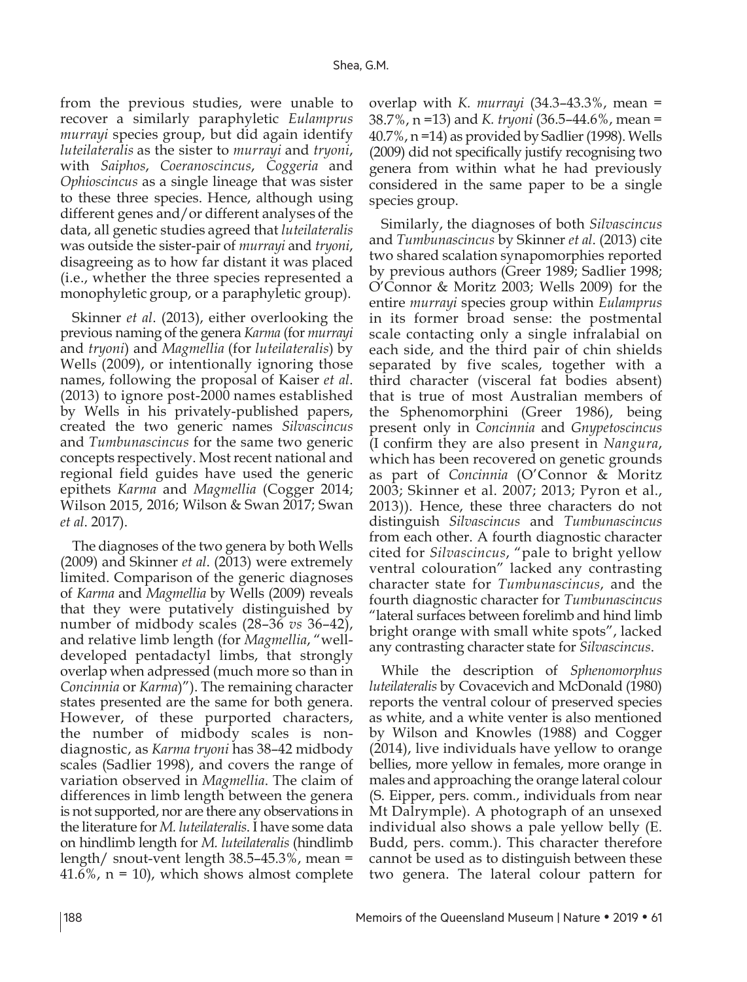from the previous studies, were unable to recover a similarly paraphyletic *Eulamprus murrayi* species group, but did again identify *luteilateralis* as the sister to *murrayi* and *tryoni*, with *Saiphos*, *Coeranoscincus*, *Coggeria* and *Ophioscincus* as a single lineage that was sister to these three species. Hence, although using different genes and/or different analyses of the data, all genetic studies agreed that *luteilateralis*  was outside the sister-pair of *murrayi* and *tryoni*, disagreeing as to how far distant it was placed (i.e., whether the three species represented a monophyletic group, or a paraphyletic group).

Skinner *et al*. (2013), either overlooking the previous naming of the genera *Karma* (for *murrayi*  and *tryoni*) and *Magmellia* (for *luteilateralis*) by Wells (2009), or intentionally ignoring those names, following the proposal of Kaiser *et al*. (2013) to ignore post-2000 names established by Wells in his privately-published papers, created the two generic names *Silvascincus*  and *Tumbunascincus* for the same two generic concepts respectively. Most recent national and regional field guides have used the generic epithets *Karma* and *Magmellia* (Cogger 2014; Wilson 2015, 2016; Wilson & Swan 2017; Swan *et al*. 2017).

The diagnoses of the two genera by both Wells (2009) and Skinner *et al*. (2013) were extremely limited. Comparison of the generic diagnoses of *Karma* and *Magmellia* by Wells (2009) reveals that they were putatively distinguished by number of midbody scales (28–36 *vs* 36–42), and relative limb length (for *Magmellia*, "welldeveloped pentadactyl limbs, that strongly overlap when adpressed (much more so than in *Concinnia* or *Karma*)"). The remaining character states presented are the same for both genera. However, of these purported characters, the number of midbody scales is nondiagnostic, as *Karma tryoni* has 38–42 midbody scales (Sadlier 1998), and covers the range of variation observed in *Magmellia*. The claim of differences in limb length between the genera is not supported, nor are there any observations in the literature for *M. luteilateralis*. I have some data on hindlimb length for *M. luteilateralis* (hindlimb length/ snout-vent length 38.5–45.3%, mean =  $41.6\%$ ,  $n = 10$ ), which shows almost complete

overlap with *K. murrayi* (34.3–43.3%, mean = 38.7%, n =13) and *K. tryoni* (36.5–44.6%, mean = 40.7%, n =14) as provided by Sadlier (1998). Wells (2009) did not specifically justify recognising two genera from within what he had previously considered in the same paper to be a single species group.

Similarly, the diagnoses of both *Silvascincus*  and *Tumbunascincus* by Skinner *et al*. (2013) cite two shared scalation synapomorphies reported by previous authors (Greer 1989; Sadlier 1998; O'Connor & Moritz 2003; Wells 2009) for the entire *murrayi* species group within *Eulamprus*  in its former broad sense: the postmental scale contacting only a single infralabial on each side, and the third pair of chin shields separated by five scales, together with a third character (visceral fat bodies absent) that is true of most Australian members of the Sphenomorphini (Greer 1986), being present only in *Concinnia* and *Gnypetoscincus*  (I confirm they are also present in *Nangura*, which has been recovered on genetic grounds as part of *Concinnia* (O'Connor & Moritz 2003; Skinner et al. 2007; 2013; Pyron et al., 2013)). Hence, these three characters do not distinguish *Silvascincus* and *Tumbunascincus*  from each other. A fourth diagnostic character cited for *Silvascincus*, "pale to bright yellow ventral colouration" lacked any contrasting character state for *Tumbunascincus*, and the fourth diagnostic character for *Tumbunascincus*  "lateral surfaces between forelimb and hind limb bright orange with small white spots", lacked any contrasting character state for *Silvascincus*.

While the description of *Sphenomorphus luteilateralis* by Covacevich and McDonald (1980) reports the ventral colour of preserved species as white, and a white venter is also mentioned by Wilson and Knowles (1988) and Cogger (2014), live individuals have yellow to orange bellies, more yellow in females, more orange in males and approaching the orange lateral colour (S. Eipper, pers. comm., individuals from near Mt Dalrymple). A photograph of an unsexed individual also shows a pale yellow belly (E. Budd, pers. comm.). This character therefore cannot be used as to distinguish between these two genera. The lateral colour pattern for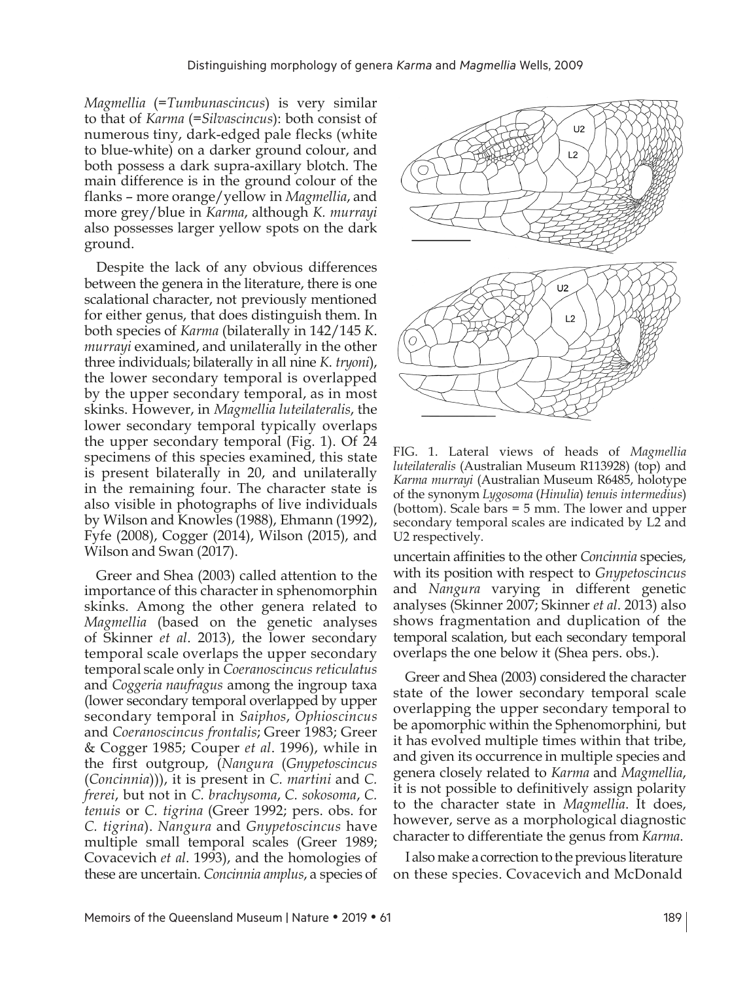*Magmellia* (=*Tumbunascincus*) is very similar to that of *Karma* (=*Silvascincus*): both consist of numerous tiny, dark-edged pale flecks (white to blue-white) on a darker ground colour, and both possess a dark supra-axillary blotch. The main difference is in the ground colour of the flanks – more orange/yellow in *Magmellia*, and more grey/blue in *Karma*, although *K. murrayi*  also possesses larger yellow spots on the dark ground.

Despite the lack of any obvious differences between the genera in the literature, there is one scalational character, not previously mentioned for either genus, that does distinguish them. In both species of *Karma* (bilaterally in 142/145 *K*. *murrayi* examined, and unilaterally in the other three individuals; bilaterally in all nine *K*. *tryoni*), the lower secondary temporal is overlapped by the upper secondary temporal, as in most skinks. However, in *Magmellia luteilateralis*, the lower secondary temporal typically overlaps the upper secondary temporal (Fig. 1). Of 24 specimens of this species examined, this state is present bilaterally in 20, and unilaterally in the remaining four. The character state is also visible in photographs of live individuals by Wilson and Knowles (1988), Ehmann (1992), Fyfe (2008), Cogger (2014), Wilson (2015), and Wilson and Swan (2017).

Greer and Shea (2003) called attention to the importance of this character in sphenomorphin skinks. Among the other genera related to *Magmellia* (based on the genetic analyses of Skinner *et al*. 2013), the lower secondary temporal scale overlaps the upper secondary temporal scale only in *Coeranoscincus reticulatus*  and *Coggeria naufragus* among the ingroup taxa (lower secondary temporal overlapped by upper secondary temporal in *Saiphos*, *Ophioscincus*  and *Coeranoscincus frontalis*; Greer 1983; Greer & Cogger 1985; Couper *et al*. 1996), while in the first outgroup, (*Nangura* (*Gnypetoscincus*  (*Concinnia*))), it is present in *C. martini* and *C. frerei*, but not in *C. brachysoma*, *C. sokosoma*, *C. tenuis* or *C. tigrina* (Greer 1992; pers. obs. for *C. tigrina*). *Nangura* and *Gnypetoscincus* have multiple small temporal scales (Greer 1989; Covacevich *et al*. 1993), and the homologies of these are uncertain. *Concinnia amplus*, a species of



FIG. 1. Lateral views of heads of *Magmellia luteilateralis* (Australian Museum R113928) (top) and *Karma murrayi* (Australian Museum R6485, holotype of the synonym *Lygosoma* (*Hinulia*) *tenuis intermedius*) (bottom). Scale bars = 5 mm. The lower and upper secondary temporal scales are indicated by L2 and U2 respectively.

uncertain affinities to the other *Concinnia* species, with its position with respect to *Gnypetoscincus*  and *Nangura* varying in different genetic analyses (Skinner 2007; Skinner *et al*. 2013) also shows fragmentation and duplication of the temporal scalation, but each secondary temporal overlaps the one below it (Shea pers. obs.).

Greer and Shea (2003) considered the character state of the lower secondary temporal scale overlapping the upper secondary temporal to be apomorphic within the Sphenomorphini, but it has evolved multiple times within that tribe, and given its occurrence in multiple species and genera closely related to *Karma* and *Magmellia*, it is not possible to definitively assign polarity to the character state in *Magmellia*. It does, however, serve as a morphological diagnostic character to differentiate the genus from *Karma*.

I also make a correction to the previous literature on these species. Covacevich and McDonald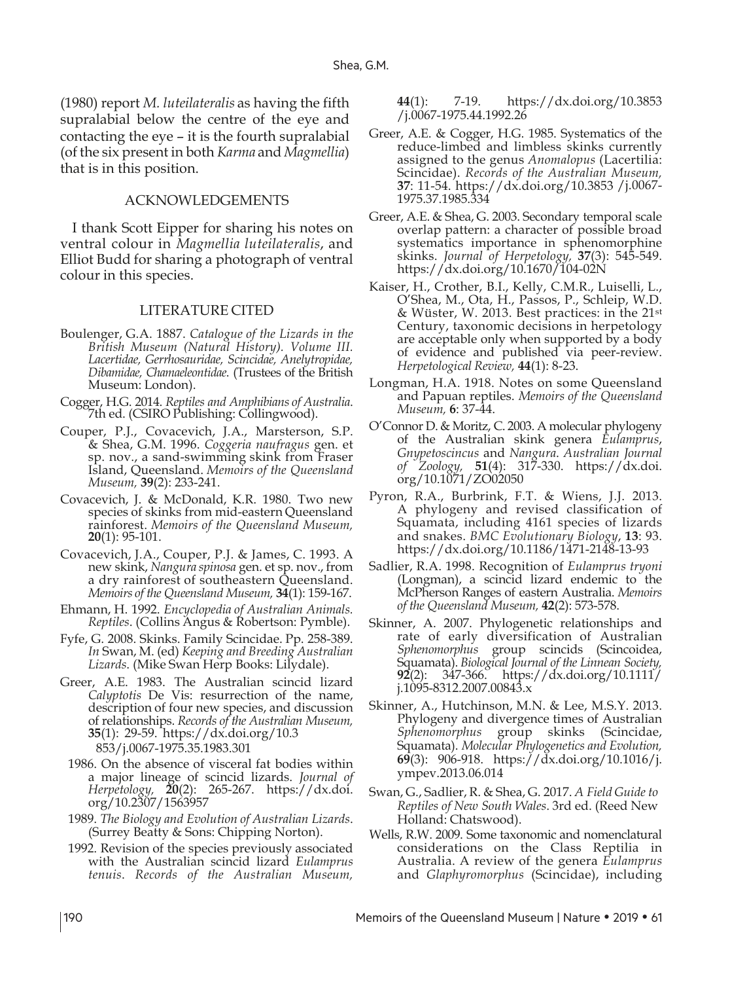(1980) report *M. luteilateralis* as having the fifth supralabial below the centre of the eye and contacting the eye – it is the fourth supralabial (of the six present in both *Karma* and *Magmellia*) that is in this position.

## ACKNOWLEDGEMENTS

I thank Scott Eipper for sharing his notes on ventral colour in *Magmellia luteilateralis*, and Elliot Budd for sharing a photograph of ventral colour in this species.

## LITERATURE CITED

- Boulenger, G.A. 1887. *Catalogue of the Lizards in the British Museum (Natural History). Volume III. Lacertidae, Gerrhosauridae, Scincidae, Anelytropidae, Dibamidae, Chamaeleontidae*. (Trustees of the British Museum: London).
- Cogger, H.G. 2014. *Reptiles and Amphibians of Australia*. 7th ed. (CSIRO Publishing: Collingwood).
- Couper, P.J., Covacevich, J.A., Marsterson, S.P. & Shea, G.M. 1996. *Coggeria naufragus* gen. et sp. nov., a sand-swimming skink from Fraser Island, Queensland. *Memoirs of the Queensland Museum,* **39**(2): 233-241.
- Covacevich, J. & McDonald, K.R. 1980. Two new species of skinks from mid-eastern Queensland rainforest. *Memoirs of the Queensland Museum,* **<sup>20</sup>**(1): 95-101.
- Covacevich, J.A., Couper, P.J. & James, C. 1993. A new skink, *Nangura spinosa* gen. et sp. nov., from a dry rainforest of southeastern Queensland. *Memoirs of the Queensland Museum,* **34**(1): 159-167.
- Ehmann, H. 1992. *Encyclopedia of Australian Animals. Reptiles*. (Collins Angus & Robertson: Pymble).
- Fyfe, G. 2008. Skinks. Family Scincidae. Pp. 258-389. *In* Swan, M. (ed) *Keeping and Breeding Australian Lizards*. (Mike Swan Herp Books: Lilydale).
- Greer, A.E. 1983. The Australian scincid lizard *Calyptotis* De Vis: resurrection of the name, description of four new species, and discussion of relationships. *Records of the Australian Museum,*  **35**(1): 29-59. https://dx.doi.org/10.3 853/j.0067-1975.35.1983.301
- 1986. On the absence of visceral fat bodies within a major lineage of scincid lizards. *Journal of Herpetology,* **20**(2): 265-267. https://dx.doi. org/10.2307/1563957
- 1989. *The Biology and Evolution of Australian Lizards*. (Surrey Beatty & Sons: Chipping Norton).
- 1992. Revision of the species previously associated with the Australian scincid lizard *Eulamprus tenuis*. *Records of the Australian Museum,*

**44**(1): 7-19. https://dx.doi.org/10.3853 /j.0067-1975.44.1992.26

- Greer, A.E. & Cogger, H.G. 1985. Systematics of the reduce-limbed and limbless skinks currently assigned to the genus *Anomalopus* (Lacertilia: Scincidae). *Records of the Australian Museum,*  **37**: 11-54. https://dx.doi.org/10.3853 /j.0067- 1975.37.1985.334
- Greer, A.E. & Shea, G. 2003. Secondary temporal scale overlap pattern: a character of possible broad systematics importance in sphenomorphine skinks. *Journal of Herpetology,* **37**(3): 545-549. https://dx.doi.org/10.1670/104-02N
- Kaiser, H., Crother, B.I., Kelly, C.M.R., Luiselli, L., O'Shea, M., Ota, H., Passos, P., Schleip, W.D. & Wüster, W. 2013. Best practices: in the 21st Century, taxonomic decisions in herpetology are acceptable only when supported by a body of evidence and published via peer-review. *Herpetological Review,* **44**(1): 8-23.
- Longman, H.A. 1918. Notes on some Queensland and Papuan reptiles. *Memoirs of the Queensland Museum,* **6**: 37-44.
- O'Connor D. & Moritz, C. 2003. A molecular phylogeny of the Australian skink genera *Eulamprus*, *Gnypetoscincus* and *Nangura*. *Australian Journal of Zoology,* **51**(4): 317-330. https://dx.doi. org/10.1071/ZO02050
- Pyron, R.A., Burbrink, F.T. & Wiens, J.J. 2013. A phylogeny and revised classification of Squamata, including 4161 species of lizards and snakes. *BMC Evolutionary Biology*, **13**: 93. https://dx.doi.org/10.1186/1471-2148-13-93
- Sadlier, R.A. 1998. Recognition of *Eulamprus tryoni*  (Longman), a scincid lizard endemic to the McPherson Ranges of eastern Australia. *Memoirs of the Queensland Museum,* **42**(2): 573-578.
- Skinner, A. 2007. Phylogenetic relationships and rate of early diversification of Australian *Sphenomorphus* group scincids (Scincoidea, Squamata). *Biological Journal of the Linnean Society,* **92**(2): 347-366. https://dx.doi.org/10.1111/  $j.1095-8312.2007.00843.x$
- Skinner, A., Hutchinson, M.N. & Lee, M.S.Y. 2013. Phylogeny and divergence times of Australian *Sphenomorphus* group skinks (Scincidae, Squamata). *Molecular Phylogenetics and Evolution,* **69**(3): 906-918. https://dx.doi.org/10.1016/j. ympev.2013.06.014
- Swan, G., Sadlier, R. & Shea, G. 2017. *A Field Guide to Reptiles of New South Wales*. 3rd ed. (Reed New Holland: Chatswood).
- Wells, R.W. 2009. Some taxonomic and nomenclatural considerations on the Class Reptilia in Australia. A review of the genera *Eulamprus*  and *Glaphyromorphus* (Scincidae), including